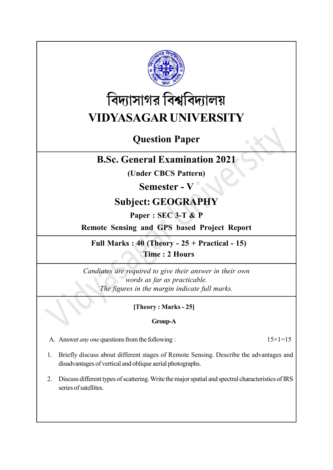

# বিদ্যাসাগর বিশ্ববিদ্যালয় VIDYASAGAR UNIVERSITY

# Question Paper

# B.Sc. General Examination 2021

(Under CBCS Pattern)

# Semester - V

# Subject: GEOGRAPHY

## Paper : SEC 3-T & P

# Remote Sensing and GPS based Project Report

## Full Marks :  $40$  (Theory -  $25 +$  Practical - 15) Time : 2 Hours

Candiates are required to give their answer in their own words as far as practicable. The figures in the margin indicate full marks.

## [Theory : Marks - 25]

## Group-A

A. Answer *any one* questions from the following :  $15 \times 1 = 15$ 

- 1. Briefly discuss about different stages of Remote Sensing. Describe the advantages and disadvantages of vertical and oblique aerial photographs.
- 2. Discuss different types of scattering. Write the major spatial and spectral characteristics of IRS series of satellites.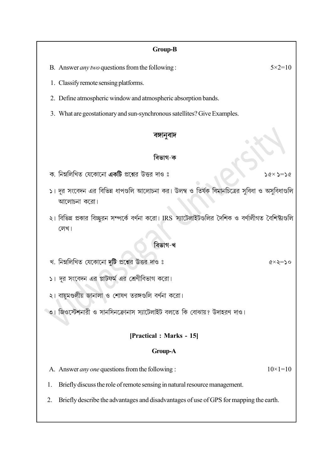#### Group-B

B. Answer *any two* questions from the following :  $5 \times 2 = 10$ 

1. Classify remote sensing platforms.

- 2. Define atmospheric window and atmospheric absorption bands.
- 3. What are geostationary and sun-synchronous satellites? Give Examples.

#### বঙ্গানুবাদ

#### বিভাগ-ক

- ক, নিম্নলিখিত যেকোনো **একটি** প্রশ্নের উত্তর দাও ঃ
- ১। দূর সংবেদন এর বিভিন্ন ধাপগুলি আলোচনা কর। উলম্ব ও তির্যক বিমানচিত্রের সুবিধা ও অসুবিধাগুলি আলোচনা করো।
- ২। বিভিন্ন প্রকার বিচ্ছুরন সম্পর্কে বর্ণনা করো। IRS স্যাটেলাইটগুলির দৈশিক ও বর্ণালীগত বৈশিষ্ট্যগুলি লেখ।

#### বিভাগ-খ

খ. নিম্নলিখিত যেকোনো দুটি প্রশ্নের উত্তর দাও ঃ

১। দূর সংবেদন এর প্লাটফর্ম এর শ্রেণীবিভাগ করো।

২। বায়ুমণ্ডলীয় জানালা ও শোষণ তরঙ্গগুলি বর্ণনা করো।

ঁ৩। জিওস্টেশনারী ও সানসিনক্রোনাস স্যাটেলাইট বলতে কি বোঝায়? উদাহরণ দাও।

### [Practical : Marks - 15]

#### Group-A

A. Answer *any one* questions from the following :  $10 \times 1 = 10$ 

1. Briefly discuss the role of remote sensing in natural resource management.

2. Briefly describe the advantages and disadvantages of use of GPS for mapping the earth.

#### $\times$  >='

 $\alpha \times \lambda = \alpha$